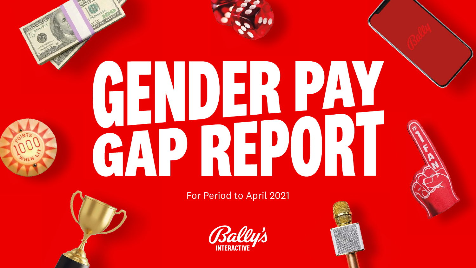

For Period to April 2021



# **GENDER PAY<br>GAP REPORT**



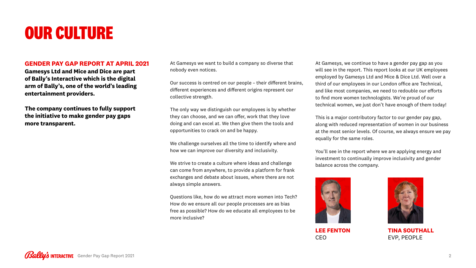# **OUR CULTURE**

### **GENDER PAY GAP REPORT AT APRIL 2021**

**Gamesys Ltd and Mice and Dice are part of Bally's Interactive which is the digital arm of Bally's, one of the world's leading entertainment providers.**

**The company continues to fully support the initiative to make gender pay gaps more transparent.**

### At Gamesys we want to build a company so diverse that

nobody even notices.

Our success is centred on our people – their different brains, different experiences and different origins represent our collective strength.

The only way we distinguish our employees is by whether they can choose, and we can offer, work that they love doing and can excel at. We then give them the tools and opportunities to crack on and be happy.

We challenge ourselves all the time to identify where and how we can improve our diversity and inclusivity.

We strive to create a culture where ideas and challenge can come from anywhere, to provide a platform for frank exchanges and debate about issues, where there are not always simple answers.

Questions like, how do we attract more women into Tech? How do we ensure all our people processes are as bias free as possible? How do we educate all employees to be more inclusive?

At Gamesys, we continue to have a gender pay gap as you will see in the report. This report looks at our UK employees employed by Gamesys Ltd and Mice & Dice Ltd. Well over a third of our employees in our London office are Technical, and like most companies, we need to redouble our efforts to find more women technologists. We're proud of our technical women, we just don't have enough of them today!

This is a major contributory factor to our gender pay gap, along with reduced representation of women in our business at the most senior levels. Of course, we always ensure we pay equally for the same roles.

You'll see in the report where we are applying energy and investment to continually improve inclusivity and gender balance across the company.



**LEE FENTON** CEO



**TINA SOUTHALL** EVP, PEOPLE



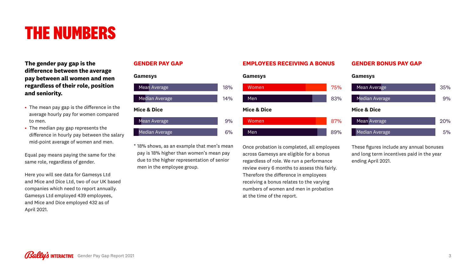# **THE NUMBERS**

**The gender pay gap is the difference between the average pay between all women and men regardless of their role, position and seniority.**

- The mean pay gap is the difference in the average hourly pay for women compared to men.
- The median pay gap represents the difference in hourly pay between the salary mid-point average of women and men.

Equal pay means paying the same for the same role, regardless of gender.

Here you will see data for Gamesys Ltd and Mice and Dice Ltd, two of our UK based companies which need to report annually. Gamesys Ltd employed 439 employees, and Mice and Dice employed 432 as of April 2021.

### **GENDER PAY GAP**

### **EMPLOYEES RECEIVING A BONUS**

Once probation is completed, all employees across Gamesys are eligible for a bonus regardless of role. We run a performance review every 6 months to assess this fairly. Therefore the difference in employees receiving a bonus relates to the varying numbers of women and men in probation at the time of the report.

- Mean Average
- Median Average
- \* 18% shows, as an example that men's mean pay is 18% higher than women's mean pay due to the higher representation of senior men in the employee group.

### **GENDER BONUS PAY GAP**

These figures include any annual bonuses and long term incentives paid in the year ending April 2021.

**Gamesys**



- Mean Average
- Median Average

### **Gamesys**

### **Mice & Dice**

| <b>Mean Average</b>    | 35 |
|------------------------|----|
| <b>Median Average</b>  |    |
| <b>Mice &amp; Dice</b> |    |
| <b>Mean Average</b>    | クロ |
| <b>Median Average</b>  | 5  |



 $\frac{1}{2}$  $\frac{1}{2}$ 

### **Gamesys**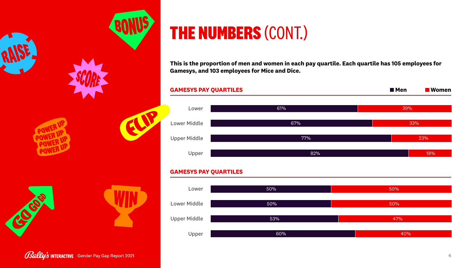

Gally's INTERACTIVE Gender Pay Gap Report 2021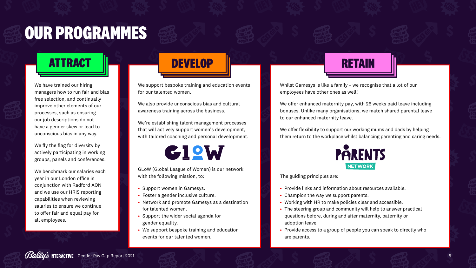We support bespoke training and education events for our talented women.

We also provide unconscious bias and cultural awareness training across the business.

We're establishing talent management processes that will actively support women's development, with tailored coaching and personal development.

# GIOW

GLoW (Global League of Women) is our network with the following mission, to:

- Support women in Gamesys.
- Foster a gender inclusive culture.
- Network and promote Gamesys as a destination for talented women.
- Support the wider social agenda for gender equality.
- We support bespoke training and education events for our talented women.

We offer flexibility to support our working mums and dads by helping them return to the workplace whilst balancing parenting and caring needs.



Whilst Gamesys is like a family – we recognise that a lot of our employees have other ones as well!

We offer enhanced maternity pay, with 26 weeks paid leave including bonuses. Unlike many organisations, we match shared parental leave to our enhanced maternity leave.

The guiding principles are:

- Provide links and information about resources available.
- Champion the way we support parents.
- Working with HR to make policies clear and accessible.
- The steering group and community will help to answer practical questions before, during and after maternity, paternity or adoption leave.
- Provide access to a group of people you can speak to directly who are parents.





# **OUR PROGRAMMES**

# **DEVELOP DEVELOP DEVELOP DEVELOP DEVELOP**

**RETAIN**

We have trained our hiring managers how to run fair and bias free selection, and continually improve other elements of our processes, such as ensuring our job descriptions do not have a gender skew or lead to unconscious bias in any way.

We fly the flag for diversity by actively participating in working groups, panels and conferences.

We benchmark our salaries each year in our London office in conjunction with Radford AON and we use our HRIS reporting capabilities when reviewing salaries to ensure we continue to offer fair and equal pay for all employees.

# **DEVELOP DEVELOP ATTRACT**



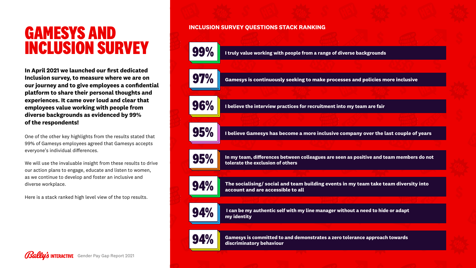# **GAMESYS AND INCLUSION SURVEY**

**In April 2021 we launched our first dedicated Inclusion survey, to measure where we are on our journey and to give employees a confidential platform to share their personal thoughts and experiences. It came over loud and clear that employees value working with people from diverse backgrounds as evidenced by 99% of the respondents!** 

> **The socialising/ social and team building events in my team take team diversity into**   $\begin{array}{|c|c|} \hline \textbf{94.96} & \textbf{The social sing/ social and team} \hline \textbf{64.70} & \textbf{arccount and are accessible to all} \end{array}$

One of the other key highlights from the results stated that 99% of Gamesys employees agreed that Gamesys accepts everyone's individual differences.

We will use the invaluable insight from these results to drive our action plans to engage, educate and listen to women, as we continue to develop and foster an inclusive and diverse workplace.

Here is a stack ranked high level view of the top results.





### **INCLUSION SURVEY QUESTIONS STACK RANKING**

**99% I truly value working with people from a range of diverse backgrounds**

 $\begin{bmatrix} 0 & 0 \end{bmatrix}$  **Gamesys is continuously seeking to make processes and policies more inclusive** 

**96%** I believe the interview practices for recruitment into my team are fair

**In my team, differences between colleagues are seen as positive and team members do not 95% tolerate the exclusion of others**

**Gamesys is committed to and demonstrates a zero tolerance approach towards 94% discriminatory behaviour**



 **I can be my authentic self with my line manager without a need to hide or adapt 94% my identity**

**95% I believe Gamesys has become a more inclusive company over the last couple of years**